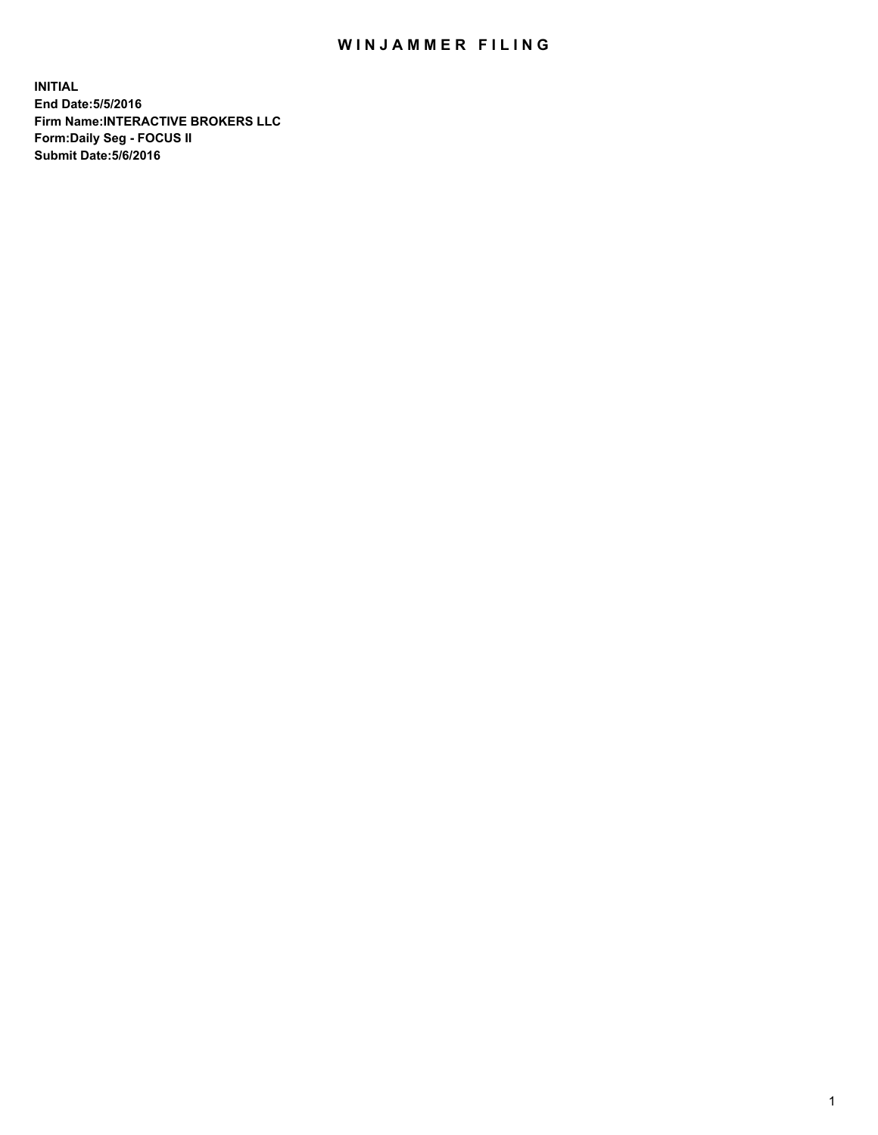## WIN JAMMER FILING

**INITIAL End Date:5/5/2016 Firm Name:INTERACTIVE BROKERS LLC Form:Daily Seg - FOCUS II Submit Date:5/6/2016**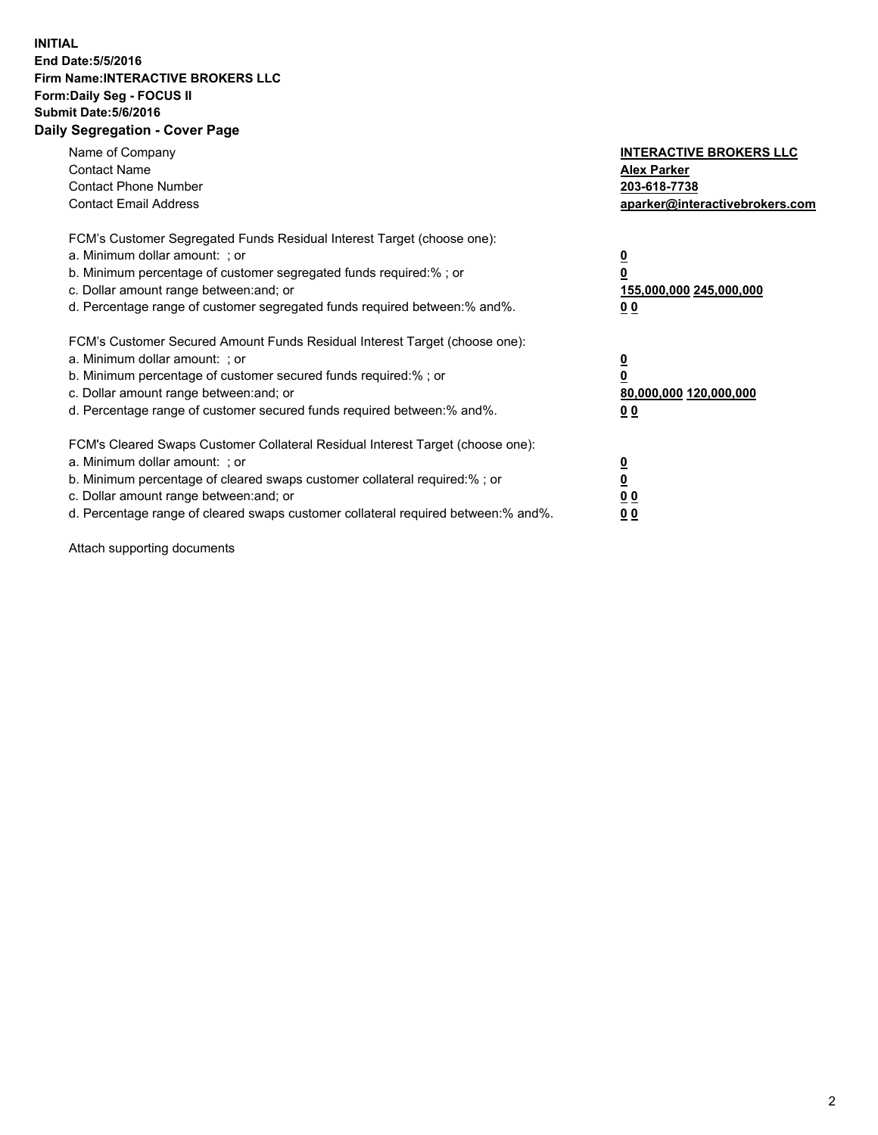## **INITIAL End Date:5/5/2016 Firm Name:INTERACTIVE BROKERS LLC Form:Daily Seg - FOCUS II Submit Date:5/6/2016 Daily Segregation - Cover Page**

| Name of Company<br><b>Contact Name</b><br><b>Contact Phone Number</b><br><b>Contact Email Address</b>                                                                                                                                                                                                                          | <b>INTERACTIVE BROKERS LLC</b><br><b>Alex Parker</b><br>203-618-7738<br>aparker@interactivebrokers.com |
|--------------------------------------------------------------------------------------------------------------------------------------------------------------------------------------------------------------------------------------------------------------------------------------------------------------------------------|--------------------------------------------------------------------------------------------------------|
| FCM's Customer Segregated Funds Residual Interest Target (choose one):<br>a. Minimum dollar amount: ; or<br>b. Minimum percentage of customer segregated funds required:%; or<br>c. Dollar amount range between: and; or<br>d. Percentage range of customer segregated funds required between:% and%.                          | <u>0</u><br><u>155,000,000 245,000,000</u><br><u>0 0</u>                                               |
| FCM's Customer Secured Amount Funds Residual Interest Target (choose one):<br>a. Minimum dollar amount: ; or<br>b. Minimum percentage of customer secured funds required:%; or<br>c. Dollar amount range between: and; or<br>d. Percentage range of customer secured funds required between:% and%.                            | <u>0</u><br>80,000,000 120,000,000<br>0 <sub>0</sub>                                                   |
| FCM's Cleared Swaps Customer Collateral Residual Interest Target (choose one):<br>a. Minimum dollar amount: ; or<br>b. Minimum percentage of cleared swaps customer collateral required:% ; or<br>c. Dollar amount range between: and; or<br>d. Percentage range of cleared swaps customer collateral required between:% and%. | <u>0</u><br>0 <sub>0</sub><br><u>00</u>                                                                |

Attach supporting documents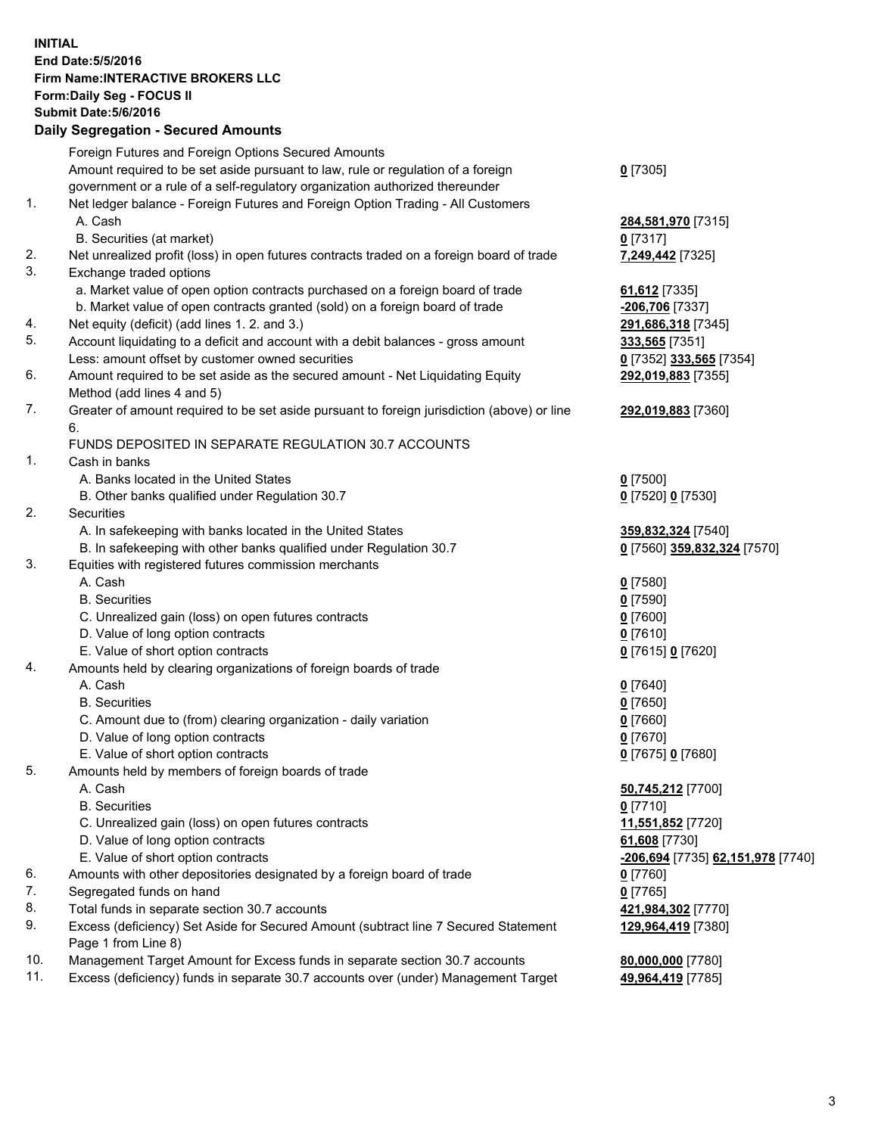## **INITIAL End Date:5/5/2016 Firm Name:INTERACTIVE BROKERS LLC Form:Daily Seg - FOCUS II Submit Date:5/6/2016 Daily Segregation - Secured Amounts**

|     | Foreign Futures and Foreign Options Secured Amounts                                         |                                   |
|-----|---------------------------------------------------------------------------------------------|-----------------------------------|
|     | Amount required to be set aside pursuant to law, rule or regulation of a foreign            | $0$ [7305]                        |
|     | government or a rule of a self-regulatory organization authorized thereunder                |                                   |
| 1.  | Net ledger balance - Foreign Futures and Foreign Option Trading - All Customers             |                                   |
|     | A. Cash                                                                                     | 284,581,970 [7315]                |
|     | B. Securities (at market)                                                                   | $0$ [7317]                        |
| 2.  | Net unrealized profit (loss) in open futures contracts traded on a foreign board of trade   | 7,249,442 [7325]                  |
| 3.  | Exchange traded options                                                                     |                                   |
|     | a. Market value of open option contracts purchased on a foreign board of trade              | 61,612 [7335]                     |
|     | b. Market value of open contracts granted (sold) on a foreign board of trade                | -206,706 [7337]                   |
| 4.  | Net equity (deficit) (add lines 1.2. and 3.)                                                | 291,686,318 [7345]                |
| 5.  | Account liquidating to a deficit and account with a debit balances - gross amount           | 333,565 [7351]                    |
|     | Less: amount offset by customer owned securities                                            | 0 [7352] 333,565 [7354]           |
| 6.  | Amount required to be set aside as the secured amount - Net Liquidating Equity              | 292,019,883 [7355]                |
|     | Method (add lines 4 and 5)                                                                  |                                   |
| 7.  | Greater of amount required to be set aside pursuant to foreign jurisdiction (above) or line | 292,019,883 [7360]                |
|     | 6.                                                                                          |                                   |
|     | FUNDS DEPOSITED IN SEPARATE REGULATION 30.7 ACCOUNTS                                        |                                   |
| 1.  | Cash in banks                                                                               |                                   |
|     | A. Banks located in the United States                                                       | $0$ [7500]                        |
|     | B. Other banks qualified under Regulation 30.7                                              | 0 [7520] 0 [7530]                 |
| 2.  | Securities                                                                                  |                                   |
|     | A. In safekeeping with banks located in the United States                                   | 359,832,324 [7540]                |
|     | B. In safekeeping with other banks qualified under Regulation 30.7                          | 0 [7560] 359,832,324 [7570]       |
| 3.  | Equities with registered futures commission merchants                                       |                                   |
|     | A. Cash                                                                                     | $0$ [7580]                        |
|     | <b>B.</b> Securities                                                                        | $0$ [7590]                        |
|     | C. Unrealized gain (loss) on open futures contracts                                         | $0$ [7600]                        |
|     | D. Value of long option contracts                                                           | $0$ [7610]                        |
|     | E. Value of short option contracts                                                          | 0 [7615] 0 [7620]                 |
| 4.  | Amounts held by clearing organizations of foreign boards of trade                           |                                   |
|     | A. Cash                                                                                     | $0$ [7640]                        |
|     | <b>B.</b> Securities                                                                        | $0$ [7650]                        |
|     | C. Amount due to (from) clearing organization - daily variation                             | $0$ [7660]                        |
|     | D. Value of long option contracts                                                           | $0$ [7670]                        |
|     | E. Value of short option contracts                                                          | 0 [7675] 0 [7680]                 |
| 5.  | Amounts held by members of foreign boards of trade                                          |                                   |
|     | A. Cash                                                                                     | 50,745,212 [7700]                 |
|     | <b>B.</b> Securities                                                                        | $0$ [7710]                        |
|     | C. Unrealized gain (loss) on open futures contracts                                         | 11,551,852 [7720]                 |
|     | D. Value of long option contracts                                                           | 61,608 [7730]                     |
|     | E. Value of short option contracts                                                          | -206,694 [7735] 62,151,978 [7740] |
| 6.  | Amounts with other depositories designated by a foreign board of trade                      | $0$ [7760]                        |
| 7.  | Segregated funds on hand                                                                    | $0$ [7765]                        |
| 8.  | Total funds in separate section 30.7 accounts                                               | 421,984,302 [7770]                |
| 9.  | Excess (deficiency) Set Aside for Secured Amount (subtract line 7 Secured Statement         | 129,964,419 [7380]                |
|     | Page 1 from Line 8)                                                                         |                                   |
| 10. | Management Target Amount for Excess funds in separate section 30.7 accounts                 | 80,000,000 [7780]                 |
| 11. | Excess (deficiency) funds in separate 30.7 accounts over (under) Management Target          | 49,964,419 [7785]                 |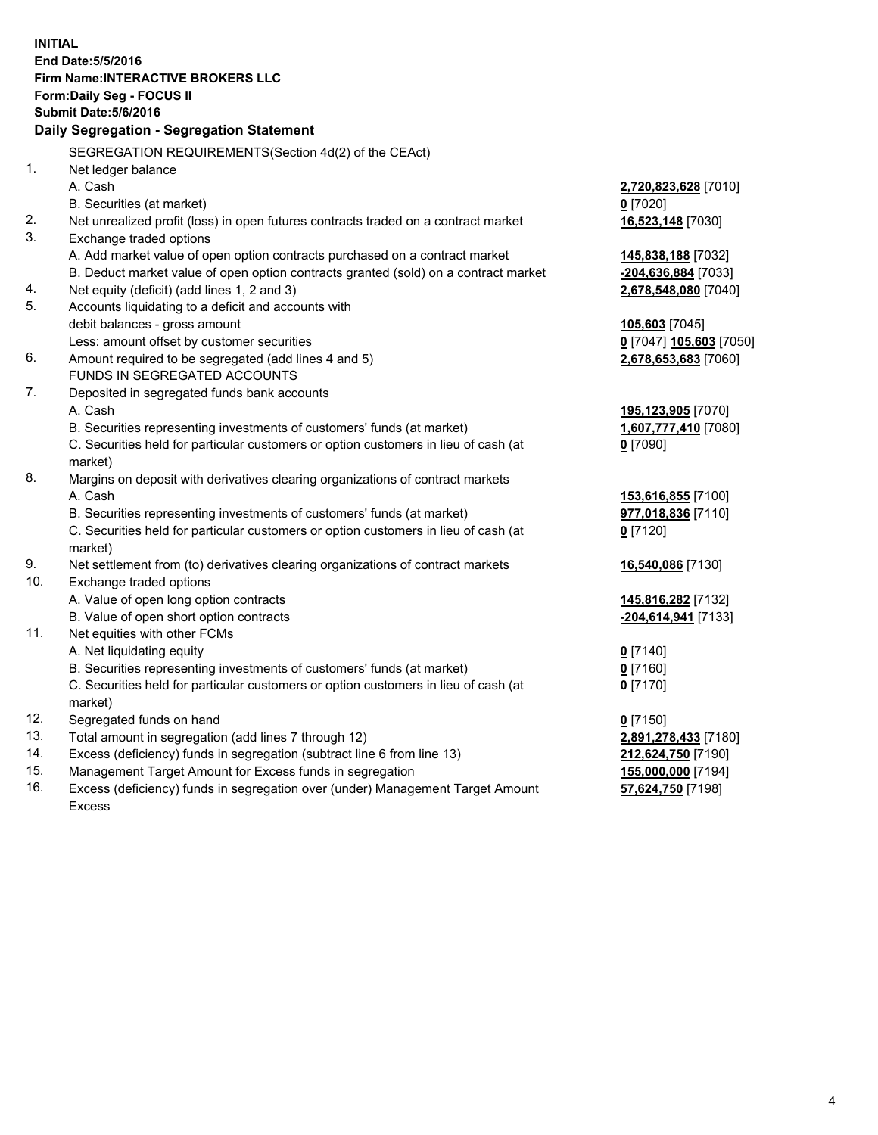**INITIAL End Date:5/5/2016 Firm Name:INTERACTIVE BROKERS LLC Form:Daily Seg - FOCUS II Submit Date:5/6/2016 Daily Segregation - Segregation Statement** SEGREGATION REQUIREMENTS(Section 4d(2) of the CEAct) 1. Net ledger balance A. Cash **2,720,823,628** [7010] B. Securities (at market) **0** [7020] 2. Net unrealized profit (loss) in open futures contracts traded on a contract market **16,523,148** [7030] 3. Exchange traded options A. Add market value of open option contracts purchased on a contract market **145,838,188** [7032] B. Deduct market value of open option contracts granted (sold) on a contract market **-204,636,884** [7033] 4. Net equity (deficit) (add lines 1, 2 and 3) **2,678,548,080** [7040] 5. Accounts liquidating to a deficit and accounts with debit balances - gross amount **105,603** [7045] Less: amount offset by customer securities **0** [7047] **105,603** [7050] 6. Amount required to be segregated (add lines 4 and 5) **2,678,653,683** [7060] FUNDS IN SEGREGATED ACCOUNTS 7. Deposited in segregated funds bank accounts A. Cash **195,123,905** [7070] B. Securities representing investments of customers' funds (at market) **1,607,777,410** [7080] C. Securities held for particular customers or option customers in lieu of cash (at market) **0** [7090] 8. Margins on deposit with derivatives clearing organizations of contract markets A. Cash **153,616,855** [7100] B. Securities representing investments of customers' funds (at market) **977,018,836** [7110] C. Securities held for particular customers or option customers in lieu of cash (at market) **0** [7120] 9. Net settlement from (to) derivatives clearing organizations of contract markets **16,540,086** [7130] 10. Exchange traded options A. Value of open long option contracts **145,816,282** [7132] B. Value of open short option contracts **-204,614,941** [7133] 11. Net equities with other FCMs A. Net liquidating equity **0** [7140] B. Securities representing investments of customers' funds (at market) **0** [7160] C. Securities held for particular customers or option customers in lieu of cash (at market) **0** [7170] 12. Segregated funds on hand **0** [7150] 13. Total amount in segregation (add lines 7 through 12) **2,891,278,433** [7180] 14. Excess (deficiency) funds in segregation (subtract line 6 from line 13) **212,624,750** [7190] 15. Management Target Amount for Excess funds in segregation **155,000,000** [7194] 16. Excess (deficiency) funds in segregation over (under) Management Target Amount **57,624,750** [7198]

Excess